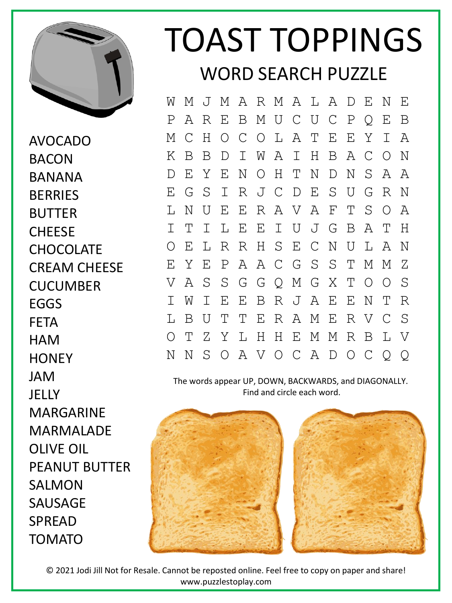

AVOCADO BACON **BANANA BERRIES** BUTTER **CHFFSF CHOCOLATE** CREAM CHEESE **CUCUMBER** EGGS FETA **HAM HONEY** JAM **JELLY** MARGARINE MARMALADE OLIVE OIL PEANUT BUTTER SALMON SAUSAGE SPREAD TOMATO

## TOAST TOPPINGS WORD SEARCH PUZZLE

W M J M A R M A L A D E N E P A R E B M U C U C P Q E B M C H O C O L A T E E Y I A K B B D I W A I H B A C O N D E Y E N O H T N D N S A A E G S I R J C D E S U G R N L N U E E R A V A F T S O A I T I L E E I U J G B A T H O E L R R H S E C N U L A N E Y E P A A C G S S T M M Z V A S S G G Q M G X T O O S I W I E E B R J A E E N T R L B U T T E R A M E R V C S O T Z Y L H H E M M R B L V N N S O A V O C A D O C Q Q

The words appear UP, DOWN, BACKWARDS, and DIAGONALLY. Find and circle each word.



© 2021 Jodi Jill Not for Resale. Cannot be reposted online. Feel free to copy on paper and share! www.puzzlestoplay.com